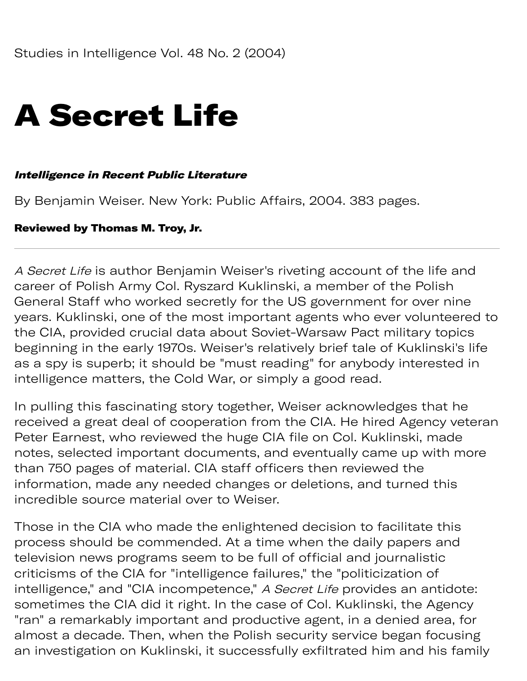# A Secret Life

#### Intelligence in Recent Public Literature

By Benjamin Weiser. New York: Public Affairs, 2004. 383 pages.

#### Reviewed by Thomas M. Troy, Jr.

A Secret Life is author Benjamin Weiser's riveting account of the life and career of Polish Army Col. Ryszard Kuklinski, a member of the Polish General Staff who worked secretly for the US government for over nine years. Kuklinski, one of the most important agents who ever volunteered to the CIA, provided crucial data about Soviet-Warsaw Pact military topics beginning in the early 1970s. Weiser's relatively brief tale of Kuklinski's life as a spy is superb; it should be "must reading" for anybody interested in intelligence matters, the Cold War, or simply a good read.

In pulling this fascinating story together, Weiser acknowledges that he received a great deal of cooperation from the CIA. He hired Agency veteran Peter Earnest, who reviewed the huge CIA file on Col. Kuklinski, made notes, selected important documents, and eventually came up with more than 750 pages of material. CIA staff officers then reviewed the information, made any needed changes or deletions, and turned this incredible source material over to Weiser.

Those in the CIA who made the enlightened decision to facilitate this process should be commended. At a time when the daily papers and television news programs seem to be full of official and journalistic criticisms of the CIA for "intelligence failures," the "politicization of intelligence," and "CIA incompetence," A Secret Life provides an antidote: sometimes the CIA did it right. In the case of Col. Kuklinski, the Agency "ran" a remarkably important and productive agent, in a denied area, for almost a decade. Then, when the Polish security service began focusing an investigation on Kuklinski, it successfully exfiltrated him and his family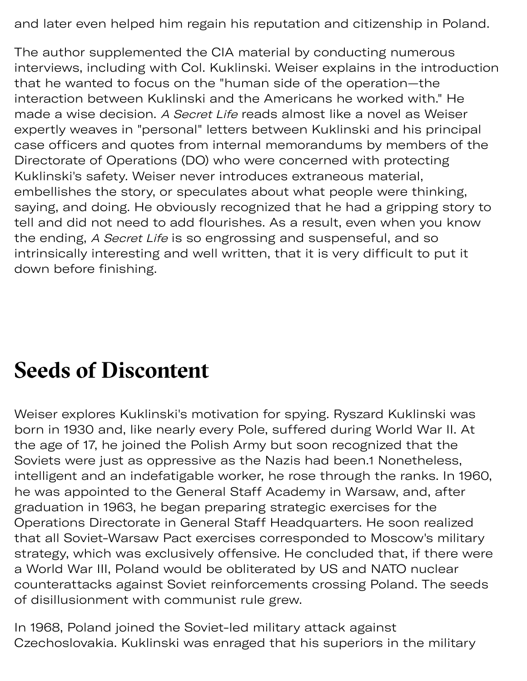and later even helped him regain his reputation and citizenship in Poland.

The author supplemented the CIA material by conducting numerous interviews, including with Col. Kuklinski. Weiser explains in the introduction that he wanted to focus on the "human side of the operation—the interaction between Kuklinski and the Americans he worked with." He made a wise decision. A Secret Life reads almost like a novel as Weiser expertly weaves in "personal" letters between Kuklinski and his principal case officers and quotes from internal memorandums by members of the Directorate of Operations (DO) who were concerned with protecting Kuklinski's safety. Weiser never introduces extraneous material, embellishes the story, or speculates about what people were thinking, saying, and doing. He obviously recognized that he had a gripping story to tell and did not need to add flourishes. As a result, even when you know the ending, A Secret Life is so engrossing and suspenseful, and so intrinsically interesting and well written, that it is very difficult to put it down before finishing.

### **Seeds of Discontent**

Weiser explores Kuklinski's motivation for spying. Ryszard Kuklinski was born in 1930 and, like nearly every Pole, suffered during World War II. At the age of 17, he joined the Polish Army but soon recognized that the Soviets were just as oppressive as the Nazis had been.1 Nonetheless, intelligent and an indefatigable worker, he rose through the ranks. In 1960, he was appointed to the General Staff Academy in Warsaw, and, after graduation in 1963, he began preparing strategic exercises for the Operations Directorate in General Staff Headquarters. He soon realized that all Soviet-Warsaw Pact exercises corresponded to Moscow's military strategy, which was exclusively offensive. He concluded that, if there were a World War III, Poland would be obliterated by US and NATO nuclear counterattacks against Soviet reinforcements crossing Poland. The seeds of disillusionment with communist rule grew.

In 1968, Poland joined the Soviet-led military attack against Czechoslovakia. Kuklinski was enraged that his superiors in the military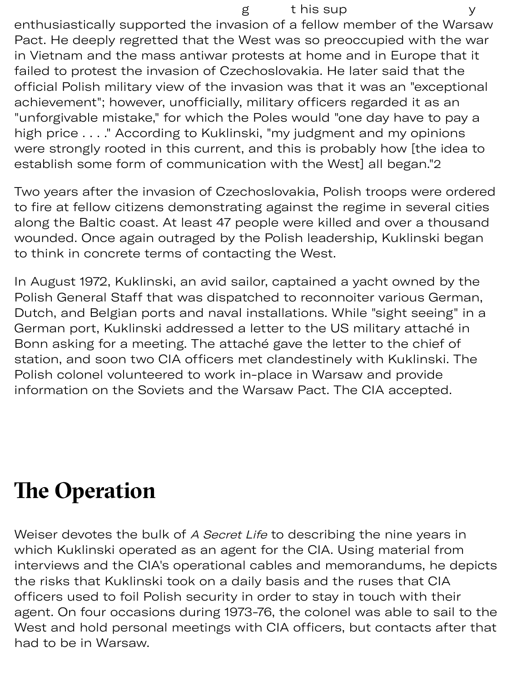enthusiastically supported the invasion of a fellow member of the Warsaw Pact. He deeply regretted that the West was so preoccupied with the war in Vietnam and the mass antiwar protests at home and in Europe that it failed to protest the invasion of Czechoslovakia. He later said that the official Polish military view of the invasion was that it was an "exceptional achievement"; however, unofficially, military officers regarded it as an "unforgivable mistake," for which the Poles would "one day have to pay a high price . . . ." According to Kuklinski, "my judgment and my opinions were strongly rooted in this current, and this is probably how [the idea to establish some form of communication with the West] all began."2

Two years after the invasion of Czechoslovakia, Polish troops were ordered to fire at fellow citizens demonstrating against the regime in several cities along the Baltic coast. At least 47 people were killed and over a thousand wounded. Once again outraged by the Polish leadership, Kuklinski began to think in concrete terms of contacting the West.

In August 1972, Kuklinski, an avid sailor, captained a yacht owned by the Polish General Staff that was dispatched to reconnoiter various German, Dutch, and Belgian ports and naval installations. While "sight seeing" in a German port, Kuklinski addressed a letter to the US military attaché in Bonn asking for a meeting. The attaché gave the letter to the chief of station, and soon two CIA officers met clandestinely with Kuklinski. The Polish colonel volunteered to work in-place in Warsaw and provide information on the Soviets and the Warsaw Pact. The CIA accepted.

## **The Operation**

Weiser devotes the bulk of A Secret Life to describing the nine years in which Kuklinski operated as an agent for the CIA. Using material from interviews and the CIA's operational cables and memorandums, he depicts the risks that Kuklinski took on a daily basis and the ruses that CIA officers used to foil Polish security in order to stay in touch with their agent. On four occasions during 1973-76, the colonel was able to sail to the West and hold personal meetings with CIA officers, but contacts after that had to be in Warsaw.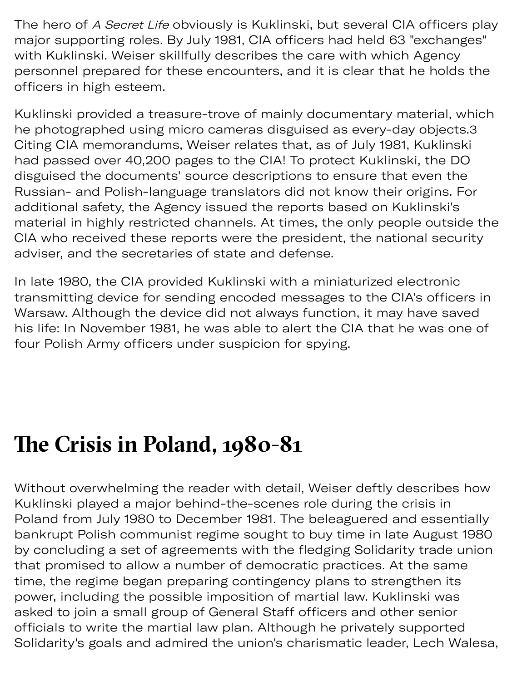The hero of A Secret Life obviously is Kuklinski, but several CIA officers play major supporting roles. By July 1981, CIA officers had held 63 "exchanges" with Kuklinski. Weiser skillfully describes the care with which Agency personnel prepared for these encounters, and it is clear that he holds the officers in high esteem.

Kuklinski provided a treasure-trove of mainly documentary material, which he photographed using micro cameras disguised as every-day objects. 3 Citing CIA memorandums, Weiser relates that, as of July 1981, Kuklinski had passed over 40,200 pages to the CIA! To protect Kuklinski, the DO disguised the documents' source descriptions to ensure that even the Russian- and Polish-language translators did not know their origins. For additional safety, the Agency issued the reports based on Kuklinski's material in highly restricted channels. At times, the only people outside the CIA who received these reports were the president, the national security adviser, and the secretaries of state and defense.

In late 1980, the CIA provided Kuklinski with a miniaturized electronic transmitting device for sending encoded messages to the CIA's officers in Warsaw. Although the device did not always function, it may have saved his life: In November 1981, he was able to alert the CIA that he was one of four Polish Army officers under suspicion for spying.

### **Te Crisis in Poland, 1980-81**

Without overwhelming the reader with detail, Weiser deftly describes how Kuklinski played a major behind-the-scenes role during the crisis in Poland from July 1980 to December 1981. The beleaguered and essentially bankrupt Polish communist regime sought to buy time in late August 1980 by concluding a set of agreements with the fledging Solidarity trade union that promised to allow a number of democratic practices. At the same time, the regime began preparing contingency plans to strengthen its power, including the possible imposition of martial law. Kuklinski was asked to join a small group of General Staff officers and other senior officials to write the martial law plan. Although he privately supported Solidarity's goals and admired the union's charismatic leader, Lech Walesa,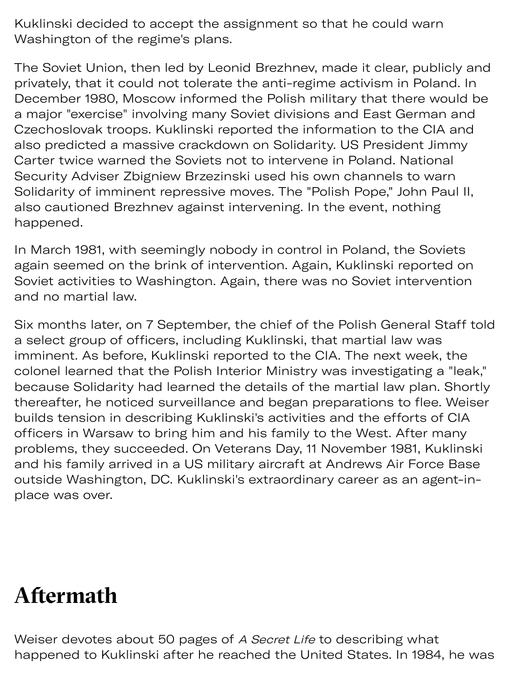Kuklinski decided to accept the assignment so that he could warn Washington of the regime's plans.

The Soviet Union, then led by Leonid Brezhnev, made it clear, publicly and privately, that it could not tolerate the anti-regime activism in Poland. In December 1980, Moscow informed the Polish military that there would be a major "exercise" involving many Soviet divisions and East German and Czechoslovak troops. Kuklinski reported the information to the CIA and also predicted a massive crackdown on Solidarity. US President Jimmy Carter twice warned the Soviets not to intervene in Poland. National Security Adviser Zbigniew Brzezinski used his own channels to warn Solidarity of imminent repressive moves. The "Polish Pope," John Paul II, also cautioned Brezhnev against intervening. In the event, nothing happened.

In March 1981, with seemingly nobody in control in Poland, the Soviets again seemed on the brink of intervention. Again, Kuklinski reported on Soviet activities to Washington. Again, there was no Soviet intervention and no martial law.

Six months later, on 7 September, the chief of the Polish General Staff told a select group of officers, including Kuklinski, that martial law was imminent. As before, Kuklinski reported to the CIA. The next week, the colonel learned that the Polish Interior Ministry was investigating a "leak," because Solidarity had learned the details of the martial law plan. Shortly thereafter, he noticed surveillance and began preparations to flee. Weiser builds tension in describing Kuklinski's activities and the efforts of CIA officers in Warsaw to bring him and his family to the West. After many problems, they succeeded. On Veterans Day, 11 November 1981, Kuklinski and his family arrived in a US military aircraft at Andrews Air Force Base outside Washington, DC. Kuklinski's extraordinary career as an agent-inplace was over.

### **Afermath**

Weiser devotes about 50 pages of A Secret Life to describing what happened to Kuklinski after he reached the United States. In 1984, he was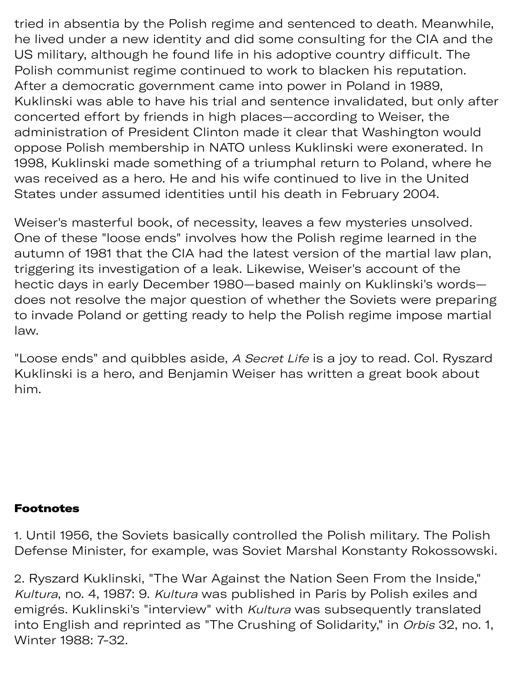tried in absentia by the Polish regime and sentenced to death. Meanwhile, he lived under a new identity and did some consulting for the CIA and the US military, although he found life in his adoptive country difficult. The Polish communist regime continued to work to blacken his reputation. After a democratic government came into power in Poland in 1989, Kuklinski was able to have his trial and sentence invalidated, but only after concerted effort by friends in high places—according to Weiser, the administration of President Clinton made it clear that Washington would oppose Polish membership in NATO unless Kuklinski were exonerated. In 1998, Kuklinski made something of a triumphal return to Poland, where he was received as a hero. He and his wife continued to live in the United States under assumed identities until his death in February 2004.

Weiser's masterful book, of necessity, leaves a few mysteries unsolved. One of these "loose ends" involves how the Polish regime learned in the autumn of 1981 that the CIA had the latest version of the martial law plan, trigering its investigation of a leak. Likewise, Weiser's account of the hectic days in early December 1980—based mainly on Kuklinski's words does not resolve the major question of whether the Soviets were preparing to invade Poland or getting ready to help the Polish regime impose martial law.

"Loose ends" and quibbles aside, A Secret Life is a joy to read. Col. Ryszard Kuklinski is a hero, and Benjamin Weiser has written a great book about him.

#### **Footnotes**

1. Until 1956, the Soviets basically controlled the Polish military. The Polish Defense Minister, for example, was Soviet Marshal Konstanty Rokossowski.

2. Ryszard Kuklinski, "The War Against the Nation Seen From the Inside," Kultura, no. 4, 1987: 9. Kultura was published in Paris by Polish exiles and emigrés. Kuklinski's "interview" with Kultura was subsequently translated into English and reprinted as "The Crushing of Solidarity," in Orbis 32, no. 1, Winter 1988: 7-32.